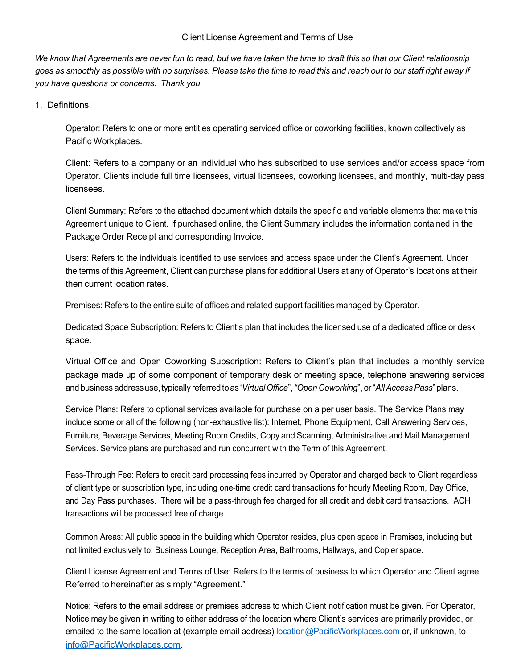# Client License Agreement and Terms of Use

We know that Agreements are never fun to read, but we have taken the time to draft this so that our Client relationship goes as smoothly as possible with no surprises. Please take the time to read this and reach out to our staff right away if *you have questions or concerns. Thank you.*

# 1. Definitions:

Operator: Refers to one or more entities operating serviced office or coworking facilities, known collectively as Pacific Workplaces.

Client: Refers to a company or an individual who has subscribed to use services and/or access space from Operator. Clients include full time licensees, virtual licensees, coworking licensees, and monthly, multi-day pass licensees.

Client Summary: Refers to the attached document which details the specific and variable elements that make this Agreement unique to Client. If purchased online, the Client Summary includes the information contained in the Package Order Receipt and corresponding Invoice.

Users: Refers to the individuals identified to use services and access space under the Client's Agreement. Under the terms of this Agreement, Client can purchase plans for additional Users at any of Operator's locations at their then current location rates.

Premises: Refers to the entire suite of offices and related support facilities managed by Operator.

Dedicated Space Subscription: Refers to Client's plan that includes the licensed use of a dedicated office or desk space.

Virtual Office and Open Coworking Subscription: Refers to Client's plan that includes a monthly service package made up of some component of temporary desk or meeting space, telephone answering services and business addressuse, typically referred toas '*VirtualOffice*",*"Open Coworking*", or"*AllAccessPass*"plans.

Service Plans: Refers to optional services available for purchase on a per user basis. The Service Plans may include some or all of the following (non-exhaustive list): Internet, Phone Equipment, Call Answering Services, Furniture, Beverage Services, Meeting Room Credits, Copy and Scanning, Administrative and Mail Management Services. Service plans are purchased and run concurrent with the Term of this Agreement.

Pass-Through Fee: Refers to credit card processing fees incurred by Operator and charged back to Client regardless of client type or subscription type, including one-time credit card transactions for hourly Meeting Room, Day Office, and Day Pass purchases. There will be a pass-through fee charged for all credit and debit card transactions. ACH transactions will be processed free of charge.

Common Areas: All public space in the building which Operator resides, plus open space in Premises, including but not limited exclusively to: Business Lounge, Reception Area, Bathrooms, Hallways, and Copier space.

Client License Agreement and Terms of Use: Refers to the terms of business to which Operator and Client agree. Referred to hereinafter as simply "Agreement."

Notice: Refers to the email address or premises address to which Client notification must be given. For Operator, Notice may be given in writing to either address of the location where Client's services are primarily provided, or emailed to the same location at (example email address) location@PacificWorkplaces.com or, if unknown, to info@PacificWorkplaces.com.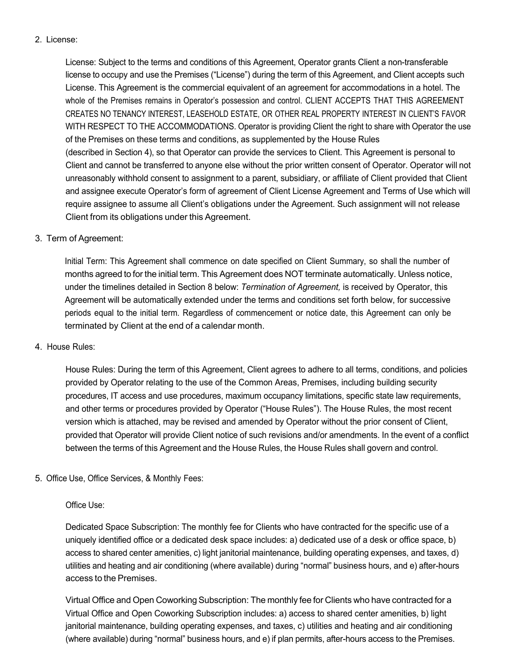# 2. License:

License: Subject to the terms and conditions of this Agreement, Operator grants Client a non-transferable license to occupy and use the Premises ("License") during the term of this Agreement, and Client accepts such License. This Agreement is the commercial equivalent of an agreement for accommodations in a hotel. The whole of the Premises remains in Operator's possession and control. CLIENT ACCEPTS THAT THIS AGREEMENT CREATES NO TENANCY INTEREST, LEASEHOLD ESTATE, OR OTHER REAL PROPERTY INTEREST IN CLIENT'S FAVOR WITH RESPECT TO THE ACCOMMODATIONS. Operator is providing Client the right to share with Operator the use of the Premises on these terms and conditions, as supplemented by the House Rules (described in Section 4), so that Operator can provide the services to Client. This Agreement is personal to Client and cannot be transferred to anyone else without the prior written consent of Operator. Operator will not unreasonably withhold consent to assignment to a parent, subsidiary, or affiliate of Client provided that Client and assignee execute Operator's form of agreement of Client License Agreement and Terms of Use which will require assignee to assume all Client's obligations under the Agreement. Such assignment will not release Client from its obligations under this Agreement.

### 3. Term of Agreement:

Initial Term: This Agreement shall commence on date specified on Client Summary, so shall the number of months agreed to for the initial term. This Agreement does NOT terminate automatically. Unless notice, under the timelines detailed in Section 8 below: *Termination of Agreement,* is received by Operator, this Agreement will be automatically extended under the terms and conditions set forth below, for successive periods equal to the initial term. Regardless of commencement or notice date, this Agreement can only be terminated by Client at the end of a calendar month.

### 4. House Rules:

House Rules: During the term of this Agreement, Client agrees to adhere to all terms, conditions, and policies provided by Operator relating to the use of the Common Areas, Premises, including building security procedures, IT access and use procedures, maximum occupancy limitations, specific state law requirements, and other terms or procedures provided by Operator ("House Rules"). The House Rules, the most recent version which is attached, may be revised and amended by Operator without the prior consent of Client, provided that Operator will provide Client notice of such revisions and/or amendments. In the event of a conflict between the terms of this Agreement and the House Rules, the House Rules shall govern and control.

# 5. Office Use, Office Services, & Monthly Fees:

# Office Use:

Dedicated Space Subscription: The monthly fee for Clients who have contracted for the specific use of a uniquely identified office or a dedicated desk space includes: a) dedicated use of a desk or office space, b) access to shared center amenities, c) light janitorial maintenance, building operating expenses, and taxes, d) utilities and heating and air conditioning (where available) during "normal" business hours, and e) after-hours access to the Premises.

Virtual Office and Open Coworking Subscription: The monthly fee for Clients who have contracted for a Virtual Office and Open Coworking Subscription includes: a) access to shared center amenities, b) light janitorial maintenance, building operating expenses, and taxes, c) utilities and heating and air conditioning (where available) during "normal" business hours, and e) if plan permits, after-hours access to the Premises.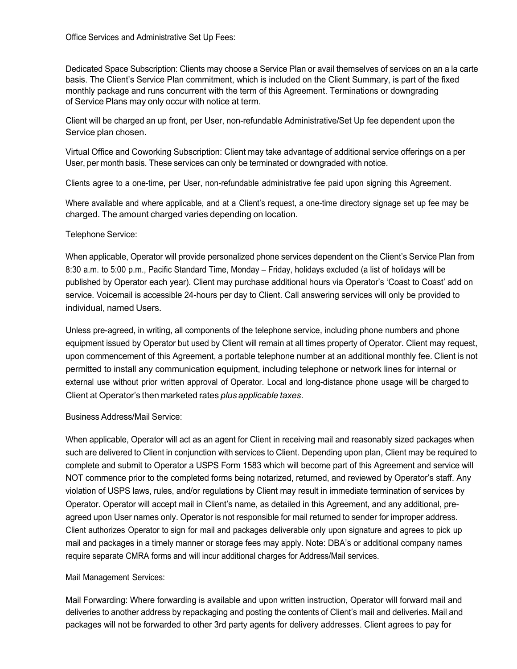Dedicated Space Subscription: Clients may choose a Service Plan or avail themselves of services on an a la carte basis. The Client's Service Plan commitment, which is included on the Client Summary, is part of the fixed monthly package and runs concurrent with the term of this Agreement. Terminations or downgrading of Service Plans may only occur with notice at term.

Client will be charged an up front, per User, non-refundable Administrative/Set Up fee dependent upon the Service plan chosen.

Virtual Office and Coworking Subscription: Client may take advantage of additional service offerings on a per User, per month basis. These services can only be terminated or downgraded with notice.

Clients agree to a one-time, per User, non-refundable administrative fee paid upon signing this Agreement.

Where available and where applicable, and at a Client's request, a one-time directory signage set up fee may be charged. The amount charged varies depending on location.

### Telephone Service:

When applicable, Operator will provide personalized phone services dependent on the Client's Service Plan from 8:30 a.m. to 5:00 p.m., Pacific Standard Time, Monday – Friday, holidays excluded (a list of holidays will be published by Operator each year). Client may purchase additional hours via Operator's 'Coast to Coast' add on service. Voicemail is accessible 24-hours per day to Client. Call answering services will only be provided to individual, named Users.

Unless pre-agreed, in writing, all components of the telephone service, including phone numbers and phone equipment issued by Operator but used by Client will remain at all times property of Operator. Client may request, upon commencement of this Agreement, a portable telephone number at an additional monthly fee. Client is not permitted to install any communication equipment, including telephone or network lines for internal or external use without prior written approval of Operator. Local and long-distance phone usage will be charged to Client at Operator's then marketed rates *plus applicable taxes*.

#### Business Address/Mail Service:

When applicable, Operator will act as an agent for Client in receiving mail and reasonably sized packages when such are delivered to Client in conjunction with services to Client. Depending upon plan, Client may be required to complete and submit to Operator a USPS Form 1583 which will become part of this Agreement and service will NOT commence prior to the completed forms being notarized, returned, and reviewed by Operator's staff. Any violation of USPS laws, rules, and/or regulations by Client may result in immediate termination of services by Operator. Operator will accept mail in Client's name, as detailed in this Agreement, and any additional, preagreed upon User names only. Operator is not responsible for mail returned to sender for improper address. Client authorizes Operator to sign for mail and packages deliverable only upon signature and agrees to pick up mail and packages in a timely manner or storage fees may apply. Note: DBA's or additional company names require separate CMRA forms and will incur additional charges for Address/Mail services.

#### Mail Management Services:

Mail Forwarding: Where forwarding is available and upon written instruction, Operator will forward mail and deliveries to another address by repackaging and posting the contents of Client's mail and deliveries. Mail and packages will not be forwarded to other 3rd party agents for delivery addresses. Client agrees to pay for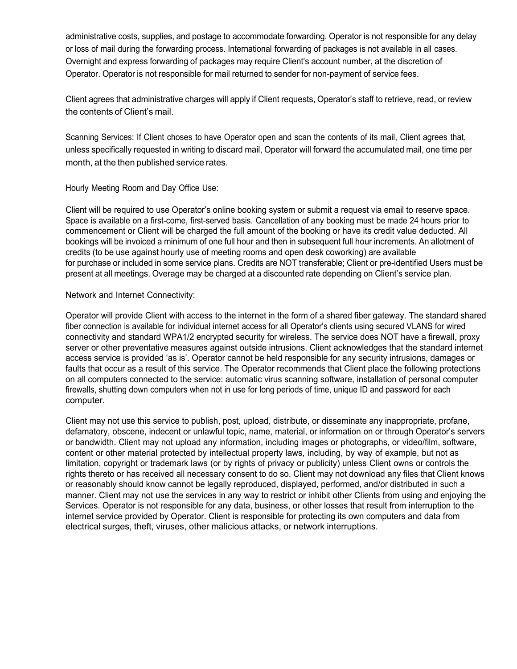administrative costs, supplies, and postage to accommodate forwarding. Operator is not responsible for any delay or loss of mail during the forwarding process. International forwarding of packages is not available in all cases. Overnight and express forwarding of packages may require Client's account number, at the discretion of Operator. Operator is not responsible for mail returned to sender for non-payment of service fees.

Client agrees that administrative charges will apply if Client requests, Operator's staff to retrieve, read, or review the contents of Client's mail.

Scanning Services: If Client choses to have Operator open and scan the contents of its mail, Client agrees that, unless specifically requested in writing to discard mail, Operator will forward the accumulated mail, one time per month, at the then published service rates.

Hourly Meeting Room and Day Office Use:

Client will be required to use Operator's online booking system or submit a request via email to reserve space. Space is available on a first-come, first-served basis. Cancellation of any booking must be made 24 hours prior to commencement or Client will be charged the full amount of the booking or have its credit value deducted. All bookings will be invoiced a minimum of one full hour and then in subsequent full hour increments. An allotment of credits (to be use against hourly use of meeting rooms and open desk coworking) are available for purchase or included in some service plans. Credits are NOT transferable; Client or pre-identified Users must be present at all meetings. Overage may be charged at a discounted rate depending on Client's service plan.

### Network and Internet Connectivity:

Operator will provide Client with access to the internet in the form of a shared fiber gateway. The standard shared fiber connection is available for individual internet access for all Operator's clients using secured VLANS for wired connectivity and standard WPA1/2 encrypted security for wireless. The service does NOT have a firewall, proxy server or other preventative measures against outside intrusions. Client acknowledges that the standard internet access service is provided 'as is'. Operator cannot be held responsible for any security intrusions, damages or faults that occur as a result of this service. The Operator recommends that Client place the following protections on all computers connected to the service: automatic virus scanning software, installation of personal computer firewalls, shutting down computers when not in use for long periods of time, unique ID and password for each computer.

Client may not use this service to publish, post, upload, distribute, or disseminate any inappropriate, profane, defamatory, obscene, indecent or unlawful topic, name, material, or information on or through Operator's servers or bandwidth. Client may not upload any information, including images or photographs, or video/film, software, content or other material protected by intellectual property laws, including, by way of example, but not as limitation, copyright or trademark laws (or by rights of privacy or publicity) unless Client owns or controls the rights thereto or has received all necessary consent to do so. Client may not download any files that Client knows or reasonably should know cannot be legally reproduced, displayed, performed, and/or distributed in such a manner. Client may not use the services in any way to restrict or inhibit other Clients from using and enjoying the Services. Operator is not responsible for any data, business, or other losses that result from interruption to the internet service provided by Operator. Client is responsible for protecting its own computers and data from electrical surges, theft, viruses, other malicious attacks, or network interruptions.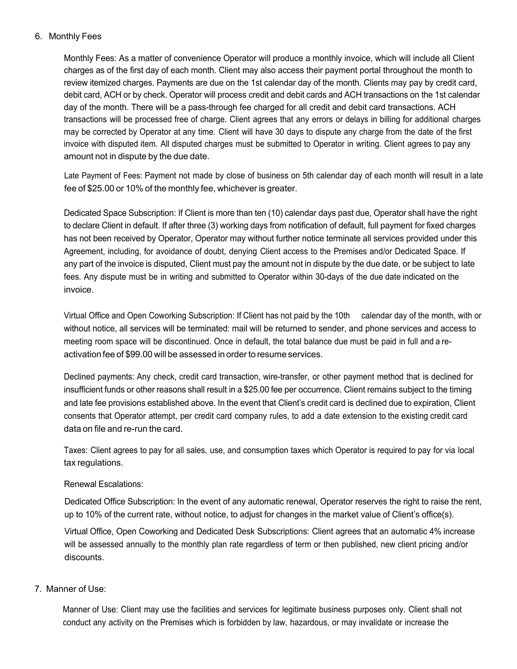# 6. Monthly Fees

Monthly Fees: As a matter of convenience Operator will produce a monthly invoice, which will include all Client charges as of the first day of each month. Client may also access their payment portal throughout the month to review itemized charges. Payments are due on the 1st calendar day of the month. Clients may pay by credit card, debit card, ACH or by check. Operator will process credit and debit cards and ACH transactions on the 1st calendar day of the month. There will be a pass-through fee charged for all credit and debit card transactions. ACH transactions will be processed free of charge. Client agrees that any errors or delays in billing for additional charges may be corrected by Operator at any time. Client will have 30 days to dispute any charge from the date of the first invoice with disputed item. All disputed charges must be submitted to Operator in writing. Client agrees to pay any amount not in dispute by the due date.

Late Payment of Fees: Payment not made by close of business on 5th calendar day of each month will result in a late fee of \$25.00 or 10% of the monthly fee, whichever is greater.

Dedicated Space Subscription: If Client is more than ten (10) calendar days past due, Operator shall have the right to declare Client in default. If after three (3) working days from notification of default, full payment for fixed charges has not been received by Operator, Operator may without further notice terminate all services provided under this Agreement, including, for avoidance of doubt, denying Client access to the Premises and/or Dedicated Space. If any part of the invoice is disputed, Client must pay the amount not in dispute by the due date, or be subject to late fees. Any dispute must be in writing and submitted to Operator within 30-days of the due date indicated on the invoice.

Virtual Office and Open Coworking Subscription: If Client has not paid by the 10th calendar day of the month, with or without notice, all services will be terminated: mail will be returned to sender, and phone services and access to meeting room space will be discontinued. Once in default, the total balance due must be paid in full and a reactivation fee of \$99.00 will be assessed in order to resume services.

Declined payments: Any check, credit card transaction, wire-transfer, or other payment method that is declined for insufficient funds or other reasons shall result in a \$25.00 fee per occurrence. Client remains subject to the timing and late fee provisions established above. In the event that Client's credit card is declined due to expiration, Client consents that Operator attempt, per credit card company rules, to add a date extension to the existing credit card data on file and re-run the card.

Taxes: Client agrees to pay for all sales, use, and consumption taxes which Operator is required to pay for via local tax regulations.

### Renewal Escalations:

Dedicated Office Subscription: In the event of any automatic renewal, Operator reserves the right to raise the rent, up to 10% of the current rate, without notice, to adjust for changes in the market value of Client's office(s).

Virtual Office, Open Coworking and Dedicated Desk Subscriptions: Client agrees that an automatic 4% increase will be assessed annually to the monthly plan rate regardless of term or then published, new client pricing and/or discounts.

### 7. Manner of Use:

Manner of Use: Client may use the facilities and services for legitimate business purposes only. Client shall not conduct any activity on the Premises which is forbidden by law, hazardous, or may invalidate or increase the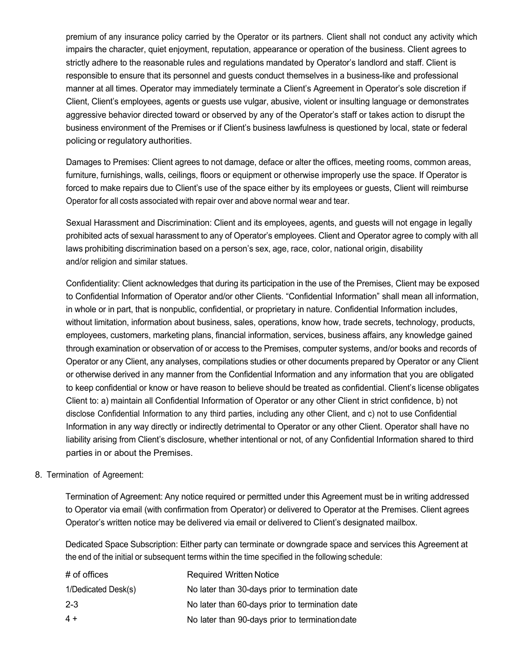premium of any insurance policy carried by the Operator or its partners. Client shall not conduct any activity which impairs the character, quiet enjoyment, reputation, appearance or operation of the business. Client agrees to strictly adhere to the reasonable rules and regulations mandated by Operator's landlord and staff. Client is responsible to ensure that its personnel and guests conduct themselves in a business-like and professional manner at all times. Operator may immediately terminate a Client's Agreement in Operator's sole discretion if Client, Client's employees, agents or guests use vulgar, abusive, violent or insulting language or demonstrates aggressive behavior directed toward or observed by any of the Operator's staff or takes action to disrupt the business environment of the Premises or if Client's business lawfulness is questioned by local, state or federal policing or regulatory authorities.

Damages to Premises: Client agrees to not damage, deface or alter the offices, meeting rooms, common areas, furniture, furnishings, walls, ceilings, floors or equipment or otherwise improperly use the space. If Operator is forced to make repairs due to Client's use of the space either by its employees or guests, Client will reimburse Operator for all costs associated with repair over and above normal wear and tear.

Sexual Harassment and Discrimination: Client and its employees, agents, and guests will not engage in legally prohibited acts of sexual harassment to any of Operator's employees. Client and Operator agree to comply with all laws prohibiting discrimination based on a person's sex, age, race, color, national origin, disability and/or religion and similar statues.

Confidentiality: Client acknowledges that during its participation in the use of the Premises, Client may be exposed to Confidential Information of Operator and/or other Clients. "Confidential Information" shall mean all information, in whole or in part, that is nonpublic, confidential, or proprietary in nature. Confidential Information includes, without limitation, information about business, sales, operations, know how, trade secrets, technology, products, employees, customers, marketing plans, financial information, services, business affairs, any knowledge gained through examination or observation of or access to the Premises, computer systems, and/or books and records of Operator or any Client, any analyses, compilations studies or other documents prepared by Operator or any Client or otherwise derived in any manner from the Confidential Information and any information that you are obligated to keep confidential or know or have reason to believe should be treated as confidential. Client's license obligates Client to: a) maintain all Confidential Information of Operator or any other Client in strict confidence, b) not disclose Confidential Information to any third parties, including any other Client, and c) not to use Confidential Information in any way directly or indirectly detrimental to Operator or any other Client. Operator shall have no liability arising from Client's disclosure, whether intentional or not, of any Confidential Information shared to third parties in or about the Premises.

### 8. Termination of Agreement:

Termination of Agreement: Any notice required or permitted under this Agreement must be in writing addressed to Operator via email (with confirmation from Operator) or delivered to Operator at the Premises. Client agrees Operator's written notice may be delivered via email or delivered to Client's designated mailbox.

Dedicated Space Subscription: Either party can terminate or downgrade space and services this Agreement at the end of the initial or subsequent terms within the time specified in the following schedule:

| # of offices        | <b>Required Written Notice</b>                  |
|---------------------|-------------------------------------------------|
| 1/Dedicated Desk(s) | No later than 30-days prior to termination date |
| $2 - 3$             | No later than 60-days prior to termination date |
| $4+$                | No later than 90-days prior to termination date |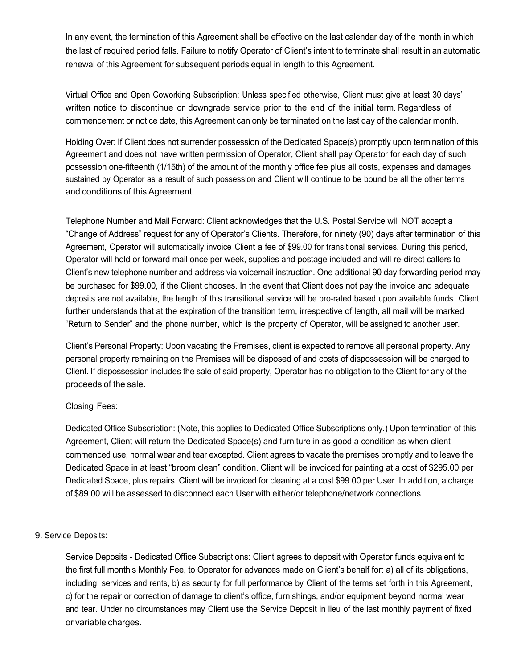In any event, the termination of this Agreement shall be effective on the last calendar day of the month in which the last of required period falls. Failure to notify Operator of Client's intent to terminate shall result in an automatic renewal of this Agreement for subsequent periods equal in length to this Agreement.

Virtual Office and Open Coworking Subscription: Unless specified otherwise, Client must give at least 30 days' written notice to discontinue or downgrade service prior to the end of the initial term. Regardless of commencement or notice date, this Agreement can only be terminated on the last day of the calendar month.

Holding Over: If Client does not surrender possession of the Dedicated Space(s) promptly upon termination of this Agreement and does not have written permission of Operator, Client shall pay Operator for each day of such possession one-fifteenth (1/15th) of the amount of the monthly office fee plus all costs, expenses and damages sustained by Operator as a result of such possession and Client will continue to be bound be all the other terms and conditions of this Agreement.

Telephone Number and Mail Forward: Client acknowledges that the U.S. Postal Service will NOT accept a "Change of Address" request for any of Operator's Clients. Therefore, for ninety (90) days after termination of this Agreement, Operator will automatically invoice Client a fee of \$99.00 for transitional services. During this period, Operator will hold or forward mail once per week, supplies and postage included and will re-direct callers to Client's new telephone number and address via voicemail instruction. One additional 90 day forwarding period may be purchased for \$99.00, if the Client chooses. In the event that Client does not pay the invoice and adequate deposits are not available, the length of this transitional service will be pro-rated based upon available funds. Client further understands that at the expiration of the transition term, irrespective of length, all mail will be marked "Return to Sender" and the phone number, which is the property of Operator, will be assigned to another user.

Client's Personal Property: Upon vacating the Premises, client is expected to remove all personal property. Any personal property remaining on the Premises will be disposed of and costs of dispossession will be charged to Client. If dispossession includes the sale of said property, Operator has no obligation to the Client for any of the proceeds of the sale.

### Closing Fees:

Dedicated Office Subscription: (Note, this applies to Dedicated Office Subscriptions only.) Upon termination of this Agreement, Client will return the Dedicated Space(s) and furniture in as good a condition as when client commenced use, normal wear and tear excepted. Client agrees to vacate the premises promptly and to leave the Dedicated Space in at least "broom clean" condition. Client will be invoiced for painting at a cost of \$295.00 per Dedicated Space, plus repairs. Client will be invoiced for cleaning at a cost \$99.00 per User. In addition, a charge of \$89.00 will be assessed to disconnect each User with either/or telephone/network connections.

### 9. Service Deposits:

Service Deposits - Dedicated Office Subscriptions: Client agrees to deposit with Operator funds equivalent to the first full month's Monthly Fee, to Operator for advances made on Client's behalf for: a) all of its obligations, including: services and rents, b) as security for full performance by Client of the terms set forth in this Agreement, c) for the repair or correction of damage to client's office, furnishings, and/or equipment beyond normal wear and tear. Under no circumstances may Client use the Service Deposit in lieu of the last monthly payment of fixed or variable charges.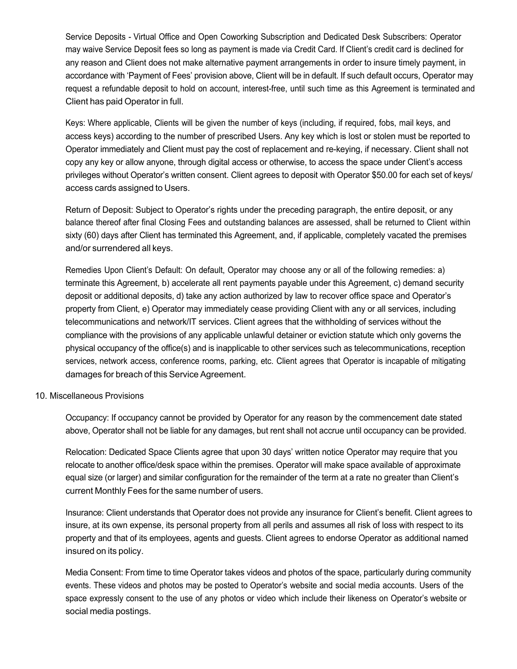Service Deposits - Virtual Office and Open Coworking Subscription and Dedicated Desk Subscribers: Operator may waive Service Deposit fees so long as payment is made via Credit Card. If Client's credit card is declined for any reason and Client does not make alternative payment arrangements in order to insure timely payment, in accordance with 'Payment of Fees' provision above, Client will be in default. If such default occurs, Operator may request a refundable deposit to hold on account, interest-free, until such time as this Agreement is terminated and Client has paid Operator in full.

Keys: Where applicable, Clients will be given the number of keys (including, if required, fobs, mail keys, and access keys) according to the number of prescribed Users. Any key which is lost or stolen must be reported to Operator immediately and Client must pay the cost of replacement and re-keying, if necessary. Client shall not copy any key or allow anyone, through digital access or otherwise, to access the space under Client's access privileges without Operator's written consent. Client agrees to deposit with Operator \$50.00 for each set of keys/ access cards assigned to Users.

Return of Deposit: Subject to Operator's rights under the preceding paragraph, the entire deposit, or any balance thereof after final Closing Fees and outstanding balances are assessed, shall be returned to Client within sixty (60) days after Client has terminated this Agreement, and, if applicable, completely vacated the premises and/or surrendered all keys.

Remedies Upon Client's Default: On default, Operator may choose any or all of the following remedies: a) terminate this Agreement, b) accelerate all rent payments payable under this Agreement, c) demand security deposit or additional deposits, d) take any action authorized by law to recover office space and Operator's property from Client, e) Operator may immediately cease providing Client with any or all services, including telecommunications and network/IT services. Client agrees that the withholding of services without the compliance with the provisions of any applicable unlawful detainer or eviction statute which only governs the physical occupancy of the office(s) and is inapplicable to other services such as telecommunications, reception services, network access, conference rooms, parking, etc. Client agrees that Operator is incapable of mitigating damages for breach of this Service Agreement.

#### 10. Miscellaneous Provisions

Occupancy: If occupancy cannot be provided by Operator for any reason by the commencement date stated above, Operator shall not be liable for any damages, but rent shall not accrue until occupancy can be provided.

Relocation: Dedicated Space Clients agree that upon 30 days' written notice Operator may require that you relocate to another office/desk space within the premises. Operator will make space available of approximate equal size (or larger) and similar configuration for the remainder of the term at a rate no greater than Client's current Monthly Fees for the same number of users.

Insurance: Client understands that Operator does not provide any insurance for Client's benefit. Client agrees to insure, at its own expense, its personal property from all perils and assumes all risk of loss with respect to its property and that of its employees, agents and guests. Client agrees to endorse Operator as additional named insured on its policy.

Media Consent: From time to time Operator takes videos and photos of the space, particularly during community events. These videos and photos may be posted to Operator's website and social media accounts. Users of the space expressly consent to the use of any photos or video which include their likeness on Operator's website or social media postings.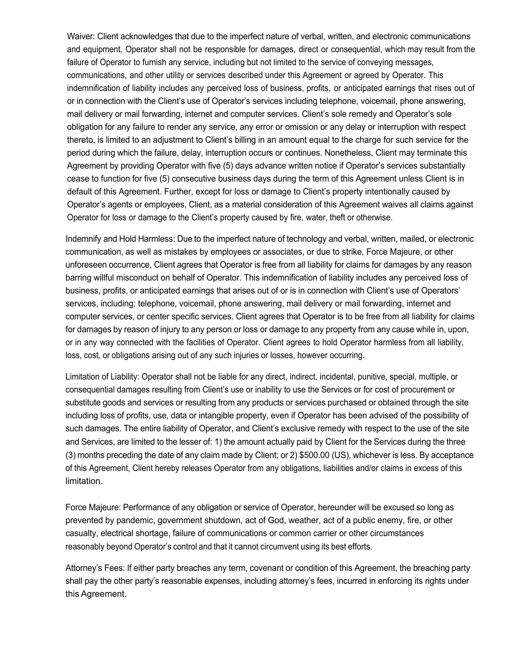Waiver: Client acknowledges that due to the imperfect nature of verbal, written, and electronic communications and equipment, Operator shall not be responsible for damages, direct or consequential, which may result from the failure of Operator to furnish any service, including but not limited to the service of conveying messages, communications, and other utility or services described under this Agreement or agreed by Operator. This indemnification of liability includes any perceived loss of business, profits, or anticipated earnings that rises out of or in connection with the Client's use of Operator's services including telephone, voicemail, phone answering, mail delivery or mail forwarding, internet and computer services. Client's sole remedy and Operator's sole obligation for any failure to render any service, any error or omission or any delay or interruption with respect thereto, is limited to an adjustment to Client's billing in an amount equal to the charge for such service for the period during which the failure, delay, interruption occurs or continues. Nonetheless, Client may terminate this Agreement by providing Operator with five (5) days advance written notice if Operator's services substantially cease to function for five (5) consecutive business days during the term of this Agreement unless Client is in default of this Agreement. Further, except for loss or damage to Client's property intentionally caused by Operator's agents or employees, Client, as a material consideration of this Agreement waives all claims against Operator for loss or damage to the Client's property caused by fire, water, theft or otherwise.

Indemnify and Hold Harmless: Due to the imperfect nature of technology and verbal, written, mailed, or electronic communication, as well as mistakes by employees or associates, or due to strike, Force Majeure, or other unforeseen occurrence, Client agrees that Operator is free from all liability for claims for damages by any reason barring willful misconduct on behalf of Operator. This indemnification of liability includes any perceived loss of business, profits, or anticipated earnings that arises out of or is in connection with Client's use of Operators' services, including: telephone, voicemail, phone answering, mail delivery or mail forwarding, internet and computer services, or center specific services. Client agrees that Operator is to be free from all liability for claims for damages by reason of injury to any person or loss or damage to any property from any cause while in, upon, or in any way connected with the facilities of Operator. Client agrees to hold Operator harmless from all liability, loss, cost, or obligations arising out of any such injuries or losses, however occurring.

Limitation of Liability: Operator shall not be liable for any direct, indirect, incidental, punitive, special, multiple, or consequential damages resulting from Client's use or inability to use the Services or for cost of procurement or substitute goods and services or resulting from any products or services purchased or obtained through the site including loss of profits, use, data or intangible property, even if Operator has been advised of the possibility of such damages. The entire liability of Operator, and Client's exclusive remedy with respect to the use of the site and Services, are limited to the lesser of: 1) the amount actually paid by Client for the Services during the three (3) months preceding the date of any claim made by Client; or 2) \$500.00 (US), whichever is less. By acceptance of this Agreement, Client hereby releases Operator from any obligations, liabilities and/or claims in excess of this limitation.

Force Majeure: Performance of any obligation or service of Operator, hereunder will be excused so long as prevented by pandemic, government shutdown, act of God, weather, act of a public enemy, fire, or other casualty, electrical shortage, failure of communications or common carrier or other circumstances reasonably beyond Operator's control and that it cannot circumvent using its best efforts.

Attorney's Fees: If either party breaches any term, covenant or condition of this Agreement, the breaching party shall pay the other party's reasonable expenses, including attorney's fees, incurred in enforcing its rights under this Agreement.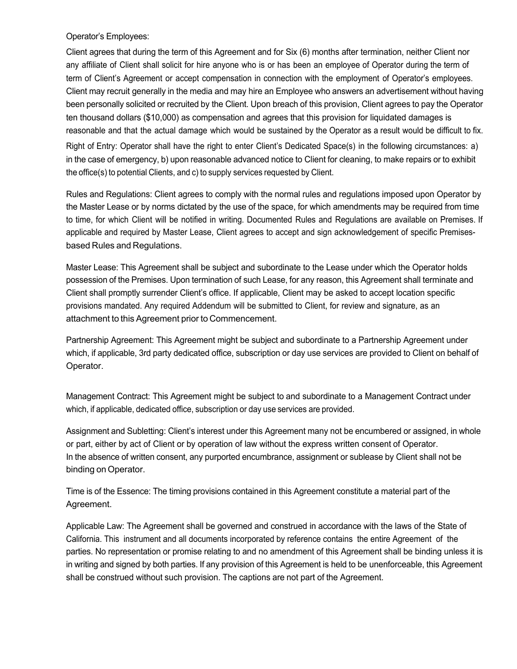Operator's Employees:

Client agrees that during the term of this Agreement and for Six (6) months after termination, neither Client nor any affiliate of Client shall solicit for hire anyone who is or has been an employee of Operator during the term of term of Client's Agreement or accept compensation in connection with the employment of Operator's employees. Client may recruit generally in the media and may hire an Employee who answers an advertisement without having been personally solicited or recruited by the Client. Upon breach of this provision, Client agrees to pay the Operator ten thousand dollars (\$10,000) as compensation and agrees that this provision for liquidated damages is reasonable and that the actual damage which would be sustained by the Operator as a result would be difficult to fix. Right of Entry: Operator shall have the right to enter Client's Dedicated Space(s) in the following circumstances: a) in the case of emergency, b) upon reasonable advanced notice to Client for cleaning, to make repairs or to exhibit the office(s) to potential Clients, and c) to supply services requested by Client.

Rules and Regulations: Client agrees to comply with the normal rules and regulations imposed upon Operator by the Master Lease or by norms dictated by the use of the space, for which amendments may be required from time to time, for which Client will be notified in writing. Documented Rules and Regulations are available on Premises. If applicable and required by Master Lease, Client agrees to accept and sign acknowledgement of specific Premisesbased Rules and Regulations.

Master Lease: This Agreement shall be subject and subordinate to the Lease under which the Operator holds possession of the Premises. Upon termination of such Lease, for any reason, this Agreement shall terminate and Client shall promptly surrender Client's office. If applicable, Client may be asked to accept location specific provisions mandated. Any required Addendum will be submitted to Client, for review and signature, as an attachment to this Agreement prior to Commencement.

Partnership Agreement: This Agreement might be subject and subordinate to a Partnership Agreement under which, if applicable, 3rd party dedicated office, subscription or day use services are provided to Client on behalf of Operator.

Management Contract: This Agreement might be subject to and subordinate to a Management Contract under which, if applicable, dedicated office, subscription or day use services are provided.

Assignment and Subletting: Client's interest under this Agreement many not be encumbered or assigned, in whole or part, either by act of Client or by operation of law without the express written consent of Operator. In the absence of written consent, any purported encumbrance, assignment or sublease by Client shall not be binding on Operator.

Time is of the Essence: The timing provisions contained in this Agreement constitute a material part of the Agreement.

Applicable Law: The Agreement shall be governed and construed in accordance with the laws of the State of California. This instrument and all documents incorporated by reference contains the entire Agreement of the parties. No representation or promise relating to and no amendment of this Agreement shall be binding unless it is in writing and signed by both parties. If any provision of this Agreement is held to be unenforceable, this Agreement shall be construed without such provision. The captions are not part of the Agreement.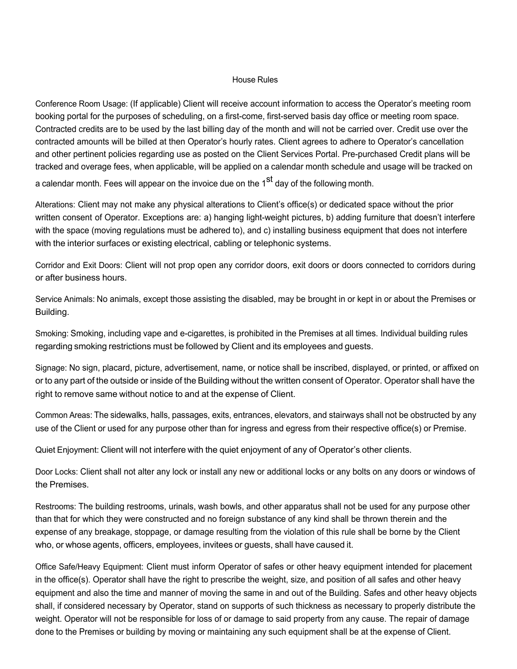#### House Rules

Conference Room Usage: (If applicable) Client will receive account information to access the Operator's meeting room booking portal for the purposes of scheduling, on a first-come, first-served basis day office or meeting room space. Contracted credits are to be used by the last billing day of the month and will not be carried over. Credit use over the contracted amounts will be billed at then Operator's hourly rates. Client agrees to adhere to Operator's cancellation and other pertinent policies regarding use as posted on the Client Services Portal. Pre-purchased Credit plans will be tracked and overage fees, when applicable, will be applied on a calendar month schedule and usage will be tracked on

a calendar month. Fees will appear on the invoice due on the 1<sup>st</sup> day of the following month.

Alterations: Client may not make any physical alterations to Client's office(s) or dedicated space without the prior written consent of Operator. Exceptions are: a) hanging light-weight pictures, b) adding furniture that doesn't interfere with the space (moving regulations must be adhered to), and c) installing business equipment that does not interfere with the interior surfaces or existing electrical, cabling or telephonic systems.

Corridor and Exit Doors: Client will not prop open any corridor doors, exit doors or doors connected to corridors during or after business hours.

Service Animals: No animals, except those assisting the disabled, may be brought in or kept in or about the Premises or Building.

Smoking: Smoking, including vape and e-cigarettes, is prohibited in the Premises at all times. Individual building rules regarding smoking restrictions must be followed by Client and its employees and guests.

Signage: No sign, placard, picture, advertisement, name, or notice shall be inscribed, displayed, or printed, or affixed on or to any part of the outside or inside of the Building without the written consent of Operator. Operator shall have the right to remove same without notice to and at the expense of Client.

Common Areas: The sidewalks, halls, passages, exits, entrances, elevators, and stairways shall not be obstructed by any use of the Client or used for any purpose other than for ingress and egress from their respective office(s) or Premise.

Quiet Enjoyment: Client will not interfere with the quiet enjoyment of any of Operator's other clients.

Door Locks: Client shall not alter any lock or install any new or additional locks or any bolts on any doors or windows of the Premises.

Restrooms: The building restrooms, urinals, wash bowls, and other apparatus shall not be used for any purpose other than that for which they were constructed and no foreign substance of any kind shall be thrown therein and the expense of any breakage, stoppage, or damage resulting from the violation of this rule shall be borne by the Client who, or whose agents, officers, employees, invitees or guests, shall have caused it.

Office Safe/Heavy Equipment: Client must inform Operator of safes or other heavy equipment intended for placement in the office(s). Operator shall have the right to prescribe the weight, size, and position of all safes and other heavy equipment and also the time and manner of moving the same in and out of the Building. Safes and other heavy objects shall, if considered necessary by Operator, stand on supports of such thickness as necessary to properly distribute the weight. Operator will not be responsible for loss of or damage to said property from any cause. The repair of damage done to the Premises or building by moving or maintaining any such equipment shall be at the expense of Client.